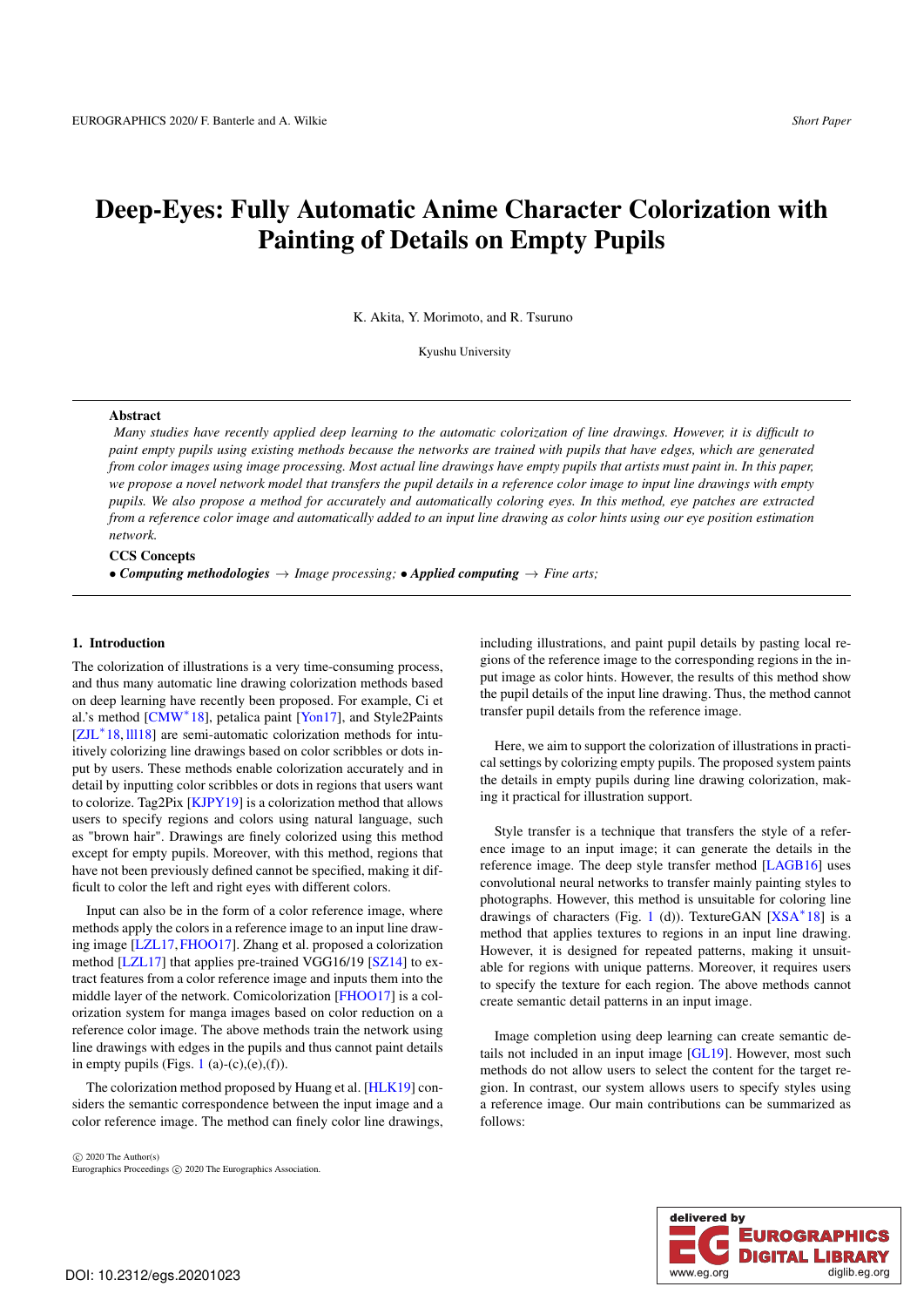# Deep-Eyes: Fully Automatic Anime Character Colorization with Painting of Details on Empty Pupils

K. Akita, Y. Morimoto, and R. Tsuruno

Kyushu University

## Abstract

*Many studies have recently applied deep learning to the automatic colorization of line drawings. However, it is difficult to paint empty pupils using existing methods because the networks are trained with pupils that have edges, which are generated from color images using image processing. Most actual line drawings have empty pupils that artists must paint in. In this paper, we propose a novel network model that transfers the pupil details in a reference color image to input line drawings with empty pupils. We also propose a method for accurately and automatically coloring eyes. In this method, eye patches are extracted from a reference color image and automatically added to an input line drawing as color hints using our eye position estimation network.*

#### CCS Concepts

• **Computing methodologies**  $\rightarrow$  *Image processing;* • *Applied computing*  $\rightarrow$  *Fine arts;* 

#### 1. Introduction

The colorization of illustrations is a very time-consuming process, and thus many automatic line drawing colorization methods based on deep learning have recently been proposed. For example, Ci et al.'s method [CMW<sup>\*</sup>18], petalica paint [Yon17], and Style2Paints [ZJL<sup>∗</sup> 18, lll18] are semi-automatic colorization methods for intuitively colorizing line drawings based on color scribbles or dots input by users. These methods enable colorization accurately and in detail by inputting color scribbles or dots in regions that users want to colorize. Tag2Pix [KJPY19] is a colorization method that allows users to specify regions and colors using natural language, such as "brown hair". Drawings are finely colorized using this method except for empty pupils. Moreover, with this method, regions that have not been previously defined cannot be specified, making it difficult to color the left and right eyes with different colors.

Input can also be in the form of a color reference image, where methods apply the colors in a reference image to an input line drawing image [LZL17,FHOO17]. Zhang et al. proposed a colorization method [LZL17] that applies pre-trained VGG16/19 [SZ14] to extract features from a color reference image and inputs them into the middle layer of the network. Comicolorization [FHOO17] is a colorization system for manga images based on color reduction on a reference color image. The above methods train the network using line drawings with edges in the pupils and thus cannot paint details in empty pupils (Figs. 1 (a)-(c),(e),(f)).

The colorization method proposed by Huang et al. [HLK19] considers the semantic correspondence between the input image and a color reference image. The method can finely color line drawings,

⃝c 2020 The Author(s) Eurographics Proceedings  $\odot$  2020 The Eurographics Association. including illustrations, and paint pupil details by pasting local regions of the reference image to the corresponding regions in the input image as color hints. However, the results of this method show the pupil details of the input line drawing. Thus, the method cannot transfer pupil details from the reference image.

Here, we aim to support the colorization of illustrations in practical settings by colorizing empty pupils. The proposed system paints the details in empty pupils during line drawing colorization, making it practical for illustration support.

Style transfer is a technique that transfers the style of a reference image to an input image; it can generate the details in the reference image. The deep style transfer method [LAGB16] uses convolutional neural networks to transfer mainly painting styles to photographs. However, this method is unsuitable for coloring line drawings of characters (Fig. 1 (d)). TextureGAN  $[**XSA**^*18]$  is a method that applies textures to regions in an input line drawing. However, it is designed for repeated patterns, making it unsuitable for regions with unique patterns. Moreover, it requires users to specify the texture for each region. The above methods cannot create semantic detail patterns in an input image.

Image completion using deep learning can create semantic details not included in an input image [GL19]. However, most such methods do not allow users to select the content for the target region. In contrast, our system allows users to specify styles using a reference image. Our main contributions can be summarized as follows:

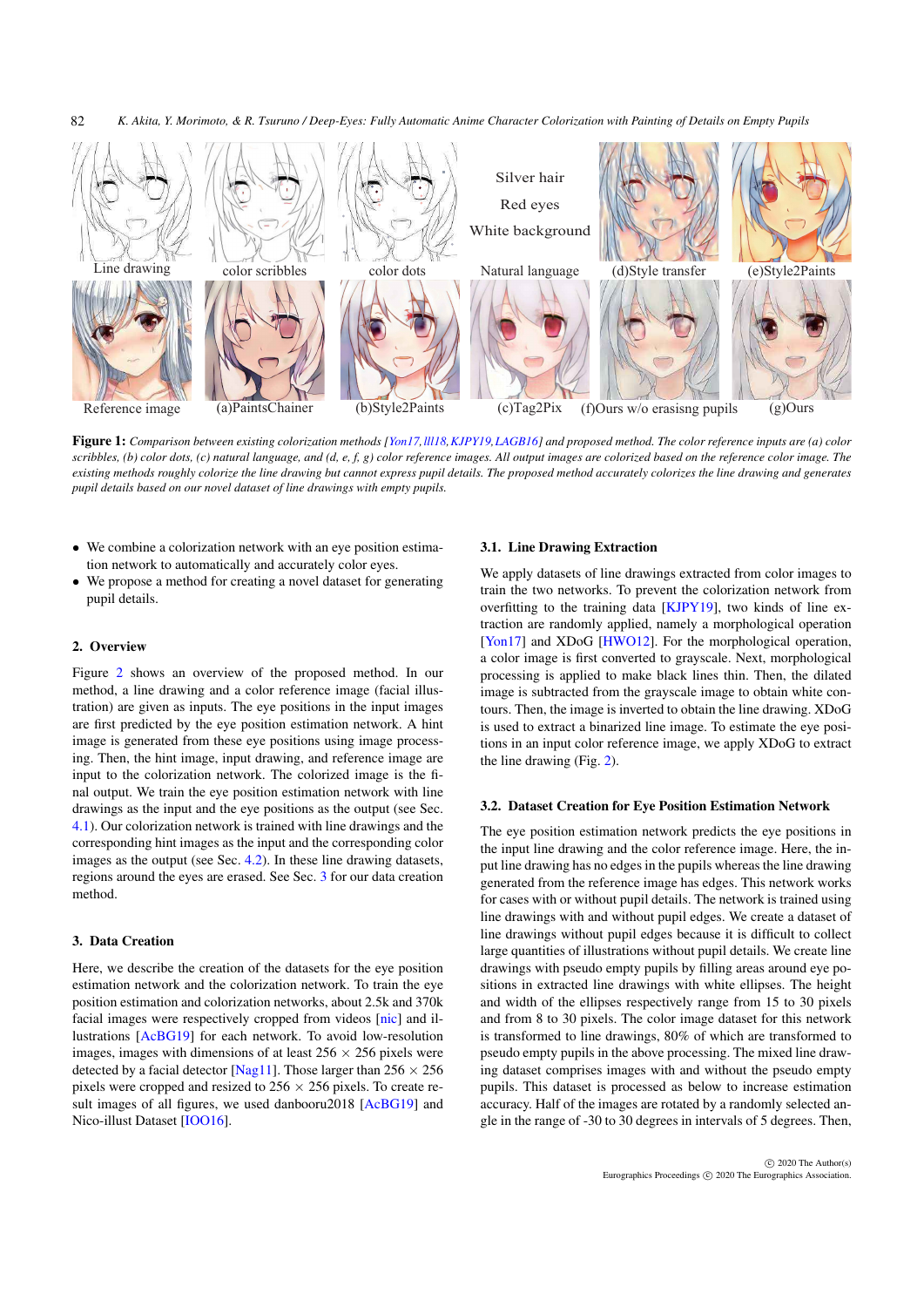*K. Akita, Y. Morimoto, & R. Tsuruno / Deep-Eyes: Fully Automatic Anime Character Colorization with Painting of Details on Empty Pupils* 82



Figure 1: *Comparison between existing colorization methods [Yon17,lll18,KJPY19,LAGB16] and proposed method. The color reference inputs are (a) color scribbles, (b) color dots, (c) natural language, and (d, e, f, g) color reference images. All output images are colorized based on the reference color image. The existing methods roughly colorize the line drawing but cannot express pupil details. The proposed method accurately colorizes the line drawing and generates pupil details based on our novel dataset of line drawings with empty pupils.*

- We combine a colorization network with an eye position estimation network to automatically and accurately color eyes.
- We propose a method for creating a novel dataset for generating pupil details.

#### 2. Overview

Figure 2 shows an overview of the proposed method. In our method, a line drawing and a color reference image (facial illustration) are given as inputs. The eye positions in the input images are first predicted by the eye position estimation network. A hint image is generated from these eye positions using image processing. Then, the hint image, input drawing, and reference image are input to the colorization network. The colorized image is the final output. We train the eye position estimation network with line drawings as the input and the eye positions as the output (see Sec. 4.1). Our colorization network is trained with line drawings and the corresponding hint images as the input and the corresponding color images as the output (see Sec. 4.2). In these line drawing datasets, regions around the eyes are erased. See Sec. 3 for our data creation method.

## 3. Data Creation

Here, we describe the creation of the datasets for the eye position estimation network and the colorization network. To train the eye position estimation and colorization networks, about 2.5k and 370k facial images were respectively cropped from videos [nic] and illustrations [AcBG19] for each network. To avoid low-resolution images, images with dimensions of at least  $256 \times 256$  pixels were detected by a facial detector [Nag11]. Those larger than  $256 \times 256$ pixels were cropped and resized to  $256 \times 256$  pixels. To create result images of all figures, we used danbooru2018 [AcBG19] and Nico-illust Dataset [IOO16].

#### 3.1. Line Drawing Extraction

We apply datasets of line drawings extracted from color images to train the two networks. To prevent the colorization network from overfitting to the training data [KJPY19], two kinds of line extraction are randomly applied, namely a morphological operation [Yon17] and XDoG [HWO12]. For the morphological operation, a color image is first converted to grayscale. Next, morphological processing is applied to make black lines thin. Then, the dilated image is subtracted from the grayscale image to obtain white contours. Then, the image is inverted to obtain the line drawing. XDoG is used to extract a binarized line image. To estimate the eye positions in an input color reference image, we apply XDoG to extract the line drawing (Fig. 2).

## 3.2. Dataset Creation for Eye Position Estimation Network

The eye position estimation network predicts the eye positions in the input line drawing and the color reference image. Here, the input line drawing has no edges in the pupils whereas the line drawing generated from the reference image has edges. This network works for cases with or without pupil details. The network is trained using line drawings with and without pupil edges. We create a dataset of line drawings without pupil edges because it is difficult to collect large quantities of illustrations without pupil details. We create line drawings with pseudo empty pupils by filling areas around eye positions in extracted line drawings with white ellipses. The height and width of the ellipses respectively range from 15 to 30 pixels and from 8 to 30 pixels. The color image dataset for this network is transformed to line drawings, 80% of which are transformed to pseudo empty pupils in the above processing. The mixed line drawing dataset comprises images with and without the pseudo empty pupils. This dataset is processed as below to increase estimation accuracy. Half of the images are rotated by a randomly selected angle in the range of -30 to 30 degrees in intervals of 5 degrees. Then,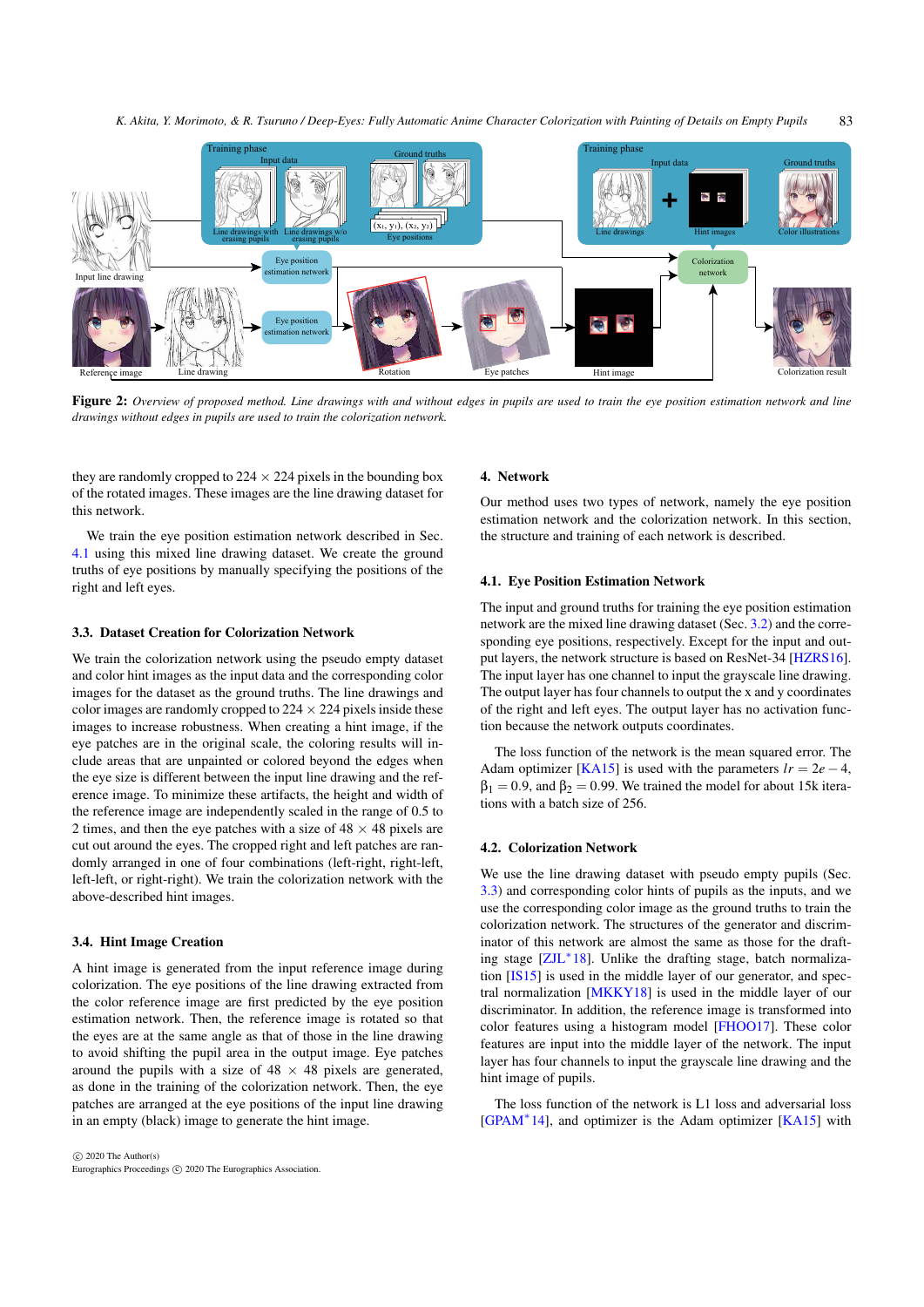*K. Akita, Y. Morimoto, & R. Tsuruno / Deep-Eyes: Fully Automatic Anime Character Colorization with Painting of Details on Empty Pupils* 83



Figure 2: *Overview of proposed method. Line drawings with and without edges in pupils are used to train the eye position estimation network and line drawings without edges in pupils are used to train the colorization network.*

they are randomly cropped to  $224 \times 224$  pixels in the bounding box of the rotated images. These images are the line drawing dataset for this network.

We train the eye position estimation network described in Sec. 4.1 using this mixed line drawing dataset. We create the ground truths of eye positions by manually specifying the positions of the right and left eyes.

## 3.3. Dataset Creation for Colorization Network

We train the colorization network using the pseudo empty dataset and color hint images as the input data and the corresponding color images for the dataset as the ground truths. The line drawings and color images are randomly cropped to  $224 \times 224$  pixels inside these images to increase robustness. When creating a hint image, if the eye patches are in the original scale, the coloring results will include areas that are unpainted or colored beyond the edges when the eye size is different between the input line drawing and the reference image. To minimize these artifacts, the height and width of the reference image are independently scaled in the range of 0.5 to 2 times, and then the eye patches with a size of  $48 \times 48$  pixels are cut out around the eyes. The cropped right and left patches are randomly arranged in one of four combinations (left-right, right-left, left-left, or right-right). We train the colorization network with the above-described hint images.

## 3.4. Hint Image Creation

A hint image is generated from the input reference image during colorization. The eye positions of the line drawing extracted from the color reference image are first predicted by the eye position estimation network. Then, the reference image is rotated so that the eyes are at the same angle as that of those in the line drawing to avoid shifting the pupil area in the output image. Eye patches around the pupils with a size of  $48 \times 48$  pixels are generated, as done in the training of the colorization network. Then, the eye patches are arranged at the eye positions of the input line drawing in an empty (black) image to generate the hint image.

#### 4. Network

Our method uses two types of network, namely the eye position estimation network and the colorization network. In this section, the structure and training of each network is described.

#### 4.1. Eye Position Estimation Network

The input and ground truths for training the eye position estimation network are the mixed line drawing dataset (Sec. 3.2) and the corresponding eye positions, respectively. Except for the input and output layers, the network structure is based on ResNet-34 [HZRS16]. The input layer has one channel to input the grayscale line drawing. The output layer has four channels to output the x and y coordinates of the right and left eyes. The output layer has no activation function because the network outputs coordinates.

The loss function of the network is the mean squared error. The Adam optimizer [KA15] is used with the parameters  $lr = 2e - 4$ ,  $\beta_1 = 0.9$ , and  $\beta_2 = 0.99$ . We trained the model for about 15k iterations with a batch size of 256.

#### 4.2. Colorization Network

We use the line drawing dataset with pseudo empty pupils (Sec. 3.3) and corresponding color hints of pupils as the inputs, and we use the corresponding color image as the ground truths to train the colorization network. The structures of the generator and discriminator of this network are almost the same as those for the drafting stage [ZJL<sup>∗</sup> 18]. Unlike the drafting stage, batch normalization [IS15] is used in the middle layer of our generator, and spectral normalization [MKKY18] is used in the middle layer of our discriminator. In addition, the reference image is transformed into color features using a histogram model [FHOO17]. These color features are input into the middle layer of the network. The input layer has four channels to input the grayscale line drawing and the hint image of pupils.

The loss function of the network is L1 loss and adversarial loss [GPAM<sup>∗</sup> 14], and optimizer is the Adam optimizer [KA15] with